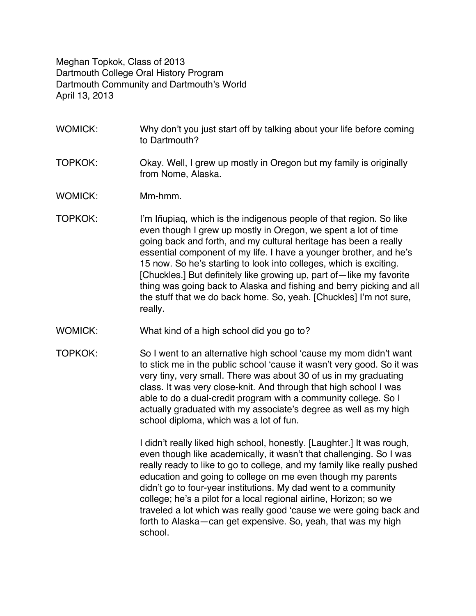Meghan Topkok, Class of 2013 Dartmouth College Oral History Program Dartmouth Community and Dartmouth's World April 13, 2013

- WOMICK: Why don't you just start off by talking about your life before coming to Dartmouth?
- TOPKOK: Okay. Well, I grew up mostly in Oregon but my family is originally from Nome, Alaska.
- WOMICK: Mm-hmm.
- TOPKOK: I'm Iñupiaq, which is the indigenous people of that region. So like even though I grew up mostly in Oregon, we spent a lot of time going back and forth, and my cultural heritage has been a really essential component of my life. I have a younger brother, and he's 15 now. So he's starting to look into colleges, which is exciting. [Chuckles.] But definitely like growing up, part of—like my favorite thing was going back to Alaska and fishing and berry picking and all the stuff that we do back home. So, yeah. [Chuckles] I'm not sure, really.
- WOMICK: What kind of a high school did you go to?
- TOPKOK: So I went to an alternative high school 'cause my mom didn't want to stick me in the public school 'cause it wasn't very good. So it was very tiny, very small. There was about 30 of us in my graduating class. It was very close-knit. And through that high school I was able to do a dual-credit program with a community college. So I actually graduated with my associate's degree as well as my high school diploma, which was a lot of fun.

I didn't really liked high school, honestly. [Laughter.] It was rough, even though like academically, it wasn't that challenging. So I was really ready to like to go to college, and my family like really pushed education and going to college on me even though my parents didn't go to four-year institutions. My dad went to a community college; he's a pilot for a local regional airline, Horizon; so we traveled a lot which was really good 'cause we were going back and forth to Alaska—can get expensive. So, yeah, that was my high school.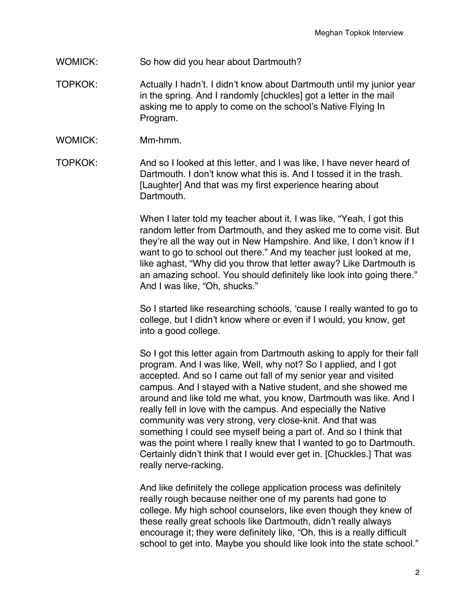- WOMICK: So how did you hear about Dartmouth?
- TOPKOK: Actually I hadn't. I didn't know about Dartmouth until my junior year in the spring. And I randomly [chuckles] got a letter in the mail asking me to apply to come on the school's Native Flying In Program.
- WOMICK: Mm-hmm.
- TOPKOK: And so I looked at this letter, and I was like, I have never heard of Dartmouth. I don't know what this is. And I tossed it in the trash. [Laughter] And that was my first experience hearing about Dartmouth.

When I later told my teacher about it, I was like, "Yeah, I got this random letter from Dartmouth, and they asked me to come visit. But they're all the way out in New Hampshire. And like, I don't know if I want to go to school out there." And my teacher just looked at me, like aghast, "Why did you throw that letter away? Like Dartmouth is an amazing school. You should definitely like look into going there." And I was like, "Oh, shucks."

So I started like researching schools, 'cause I really wanted to go to college, but I didn't know where or even if I would, you know, get into a good college.

So I got this letter again from Dartmouth asking to apply for their fall program. And I was like, Well, why not? So I applied, and I got accepted. And so I came out fall of my senior year and visited campus. And I stayed with a Native student, and she showed me around and like told me what, you know, Dartmouth was like. And I really fell in love with the campus. And especially the Native community was very strong, very close-knit. And that was something I could see myself being a part of. And so I think that was the point where I really knew that I wanted to go to Dartmouth. Certainly didn't think that I would ever get in. [Chuckles.] That was really nerve-racking.

And like definitely the college application process was definitely really rough because neither one of my parents had gone to college. My high school counselors, like even though they knew of these really great schools like Dartmouth, didn't really always encourage it; they were definitely like, "Oh, this is a really difficult school to get into. Maybe you should like look into the state school."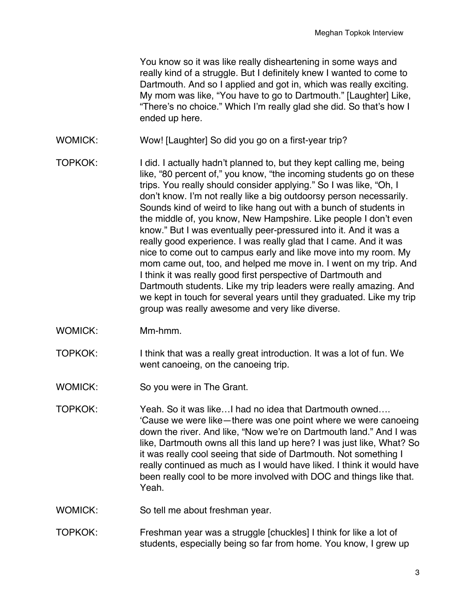You know so it was like really disheartening in some ways and really kind of a struggle. But I definitely knew I wanted to come to Dartmouth. And so I applied and got in, which was really exciting. My mom was like, "You have to go to Dartmouth." [Laughter] Like, "There's no choice." Which I'm really glad she did. So that's how I ended up here.

- WOMICK: Wow! [Laughter] So did you go on a first-year trip?
- TOPKOK: I did. I actually hadn't planned to, but they kept calling me, being like, "80 percent of," you know, "the incoming students go on these trips. You really should consider applying." So I was like, "Oh, I don't know. I'm not really like a big outdoorsy person necessarily. Sounds kind of weird to like hang out with a bunch of students in the middle of, you know, New Hampshire. Like people I don't even know." But I was eventually peer-pressured into it. And it was a really good experience. I was really glad that I came. And it was nice to come out to campus early and like move into my room. My mom came out, too, and helped me move in. I went on my trip. And I think it was really good first perspective of Dartmouth and Dartmouth students. Like my trip leaders were really amazing. And we kept in touch for several years until they graduated. Like my trip group was really awesome and very like diverse.
- WOMICK: Mm-hmm.
- TOPKOK: I think that was a really great introduction. It was a lot of fun. We went canoeing, on the canoeing trip.
- WOMICK: So you were in The Grant.
- TOPKOK: Yeah. So it was like…I had no idea that Dartmouth owned…. 'Cause we were like—there was one point where we were canoeing down the river. And like, "Now we're on Dartmouth land." And I was like, Dartmouth owns all this land up here? I was just like, What? So it was really cool seeing that side of Dartmouth. Not something I really continued as much as I would have liked. I think it would have been really cool to be more involved with DOC and things like that. Yeah.
- WOMICK: So tell me about freshman year.
- TOPKOK: Freshman year was a struggle [chuckles] I think for like a lot of students, especially being so far from home. You know, I grew up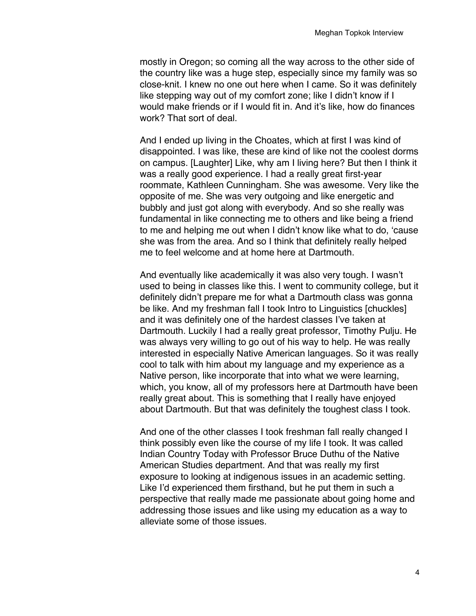mostly in Oregon; so coming all the way across to the other side of the country like was a huge step, especially since my family was so close-knit. I knew no one out here when I came. So it was definitely like stepping way out of my comfort zone; like I didn't know if I would make friends or if I would fit in. And it's like, how do finances work? That sort of deal.

And I ended up living in the Choates, which at first I was kind of disappointed. I was like, these are kind of like not the coolest dorms on campus. [Laughter] Like, why am I living here? But then I think it was a really good experience. I had a really great first-year roommate, Kathleen Cunningham. She was awesome. Very like the opposite of me. She was very outgoing and like energetic and bubbly and just got along with everybody. And so she really was fundamental in like connecting me to others and like being a friend to me and helping me out when I didn't know like what to do, 'cause she was from the area. And so I think that definitely really helped me to feel welcome and at home here at Dartmouth.

And eventually like academically it was also very tough. I wasn't used to being in classes like this. I went to community college, but it definitely didn't prepare me for what a Dartmouth class was gonna be like. And my freshman fall I took Intro to Linguistics [chuckles] and it was definitely one of the hardest classes I've taken at Dartmouth. Luckily I had a really great professor, Timothy Pulju. He was always very willing to go out of his way to help. He was really interested in especially Native American languages. So it was really cool to talk with him about my language and my experience as a Native person, like incorporate that into what we were learning, which, you know, all of my professors here at Dartmouth have been really great about. This is something that I really have enjoyed about Dartmouth. But that was definitely the toughest class I took.

And one of the other classes I took freshman fall really changed I think possibly even like the course of my life I took. It was called Indian Country Today with Professor Bruce Duthu of the Native American Studies department. And that was really my first exposure to looking at indigenous issues in an academic setting. Like I'd experienced them firsthand, but he put them in such a perspective that really made me passionate about going home and addressing those issues and like using my education as a way to alleviate some of those issues.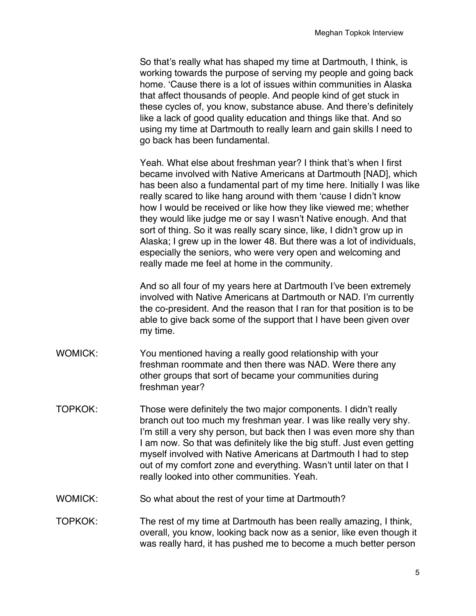So that's really what has shaped my time at Dartmouth, I think, is working towards the purpose of serving my people and going back home. 'Cause there is a lot of issues within communities in Alaska that affect thousands of people. And people kind of get stuck in these cycles of, you know, substance abuse. And there's definitely like a lack of good quality education and things like that. And so using my time at Dartmouth to really learn and gain skills I need to go back has been fundamental.

Yeah. What else about freshman year? I think that's when I first became involved with Native Americans at Dartmouth [NAD], which has been also a fundamental part of my time here. Initially I was like really scared to like hang around with them 'cause I didn't know how I would be received or like how they like viewed me; whether they would like judge me or say I wasn't Native enough. And that sort of thing. So it was really scary since, like, I didn't grow up in Alaska; I grew up in the lower 48. But there was a lot of individuals, especially the seniors, who were very open and welcoming and really made me feel at home in the community.

And so all four of my years here at Dartmouth I've been extremely involved with Native Americans at Dartmouth or NAD. I'm currently the co-president. And the reason that I ran for that position is to be able to give back some of the support that I have been given over my time.

- WOMICK: You mentioned having a really good relationship with your freshman roommate and then there was NAD. Were there any other groups that sort of became your communities during freshman year?
- TOPKOK: Those were definitely the two major components. I didn't really branch out too much my freshman year. I was like really very shy. I'm still a very shy person, but back then I was even more shy than I am now. So that was definitely like the big stuff. Just even getting myself involved with Native Americans at Dartmouth I had to step out of my comfort zone and everything. Wasn't until later on that I really looked into other communities. Yeah.
- WOMICK: So what about the rest of your time at Dartmouth?
- TOPKOK: The rest of my time at Dartmouth has been really amazing, I think, overall, you know, looking back now as a senior, like even though it was really hard, it has pushed me to become a much better person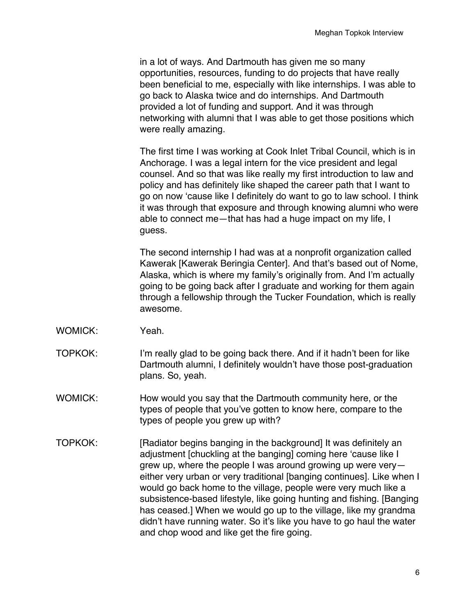in a lot of ways. And Dartmouth has given me so many opportunities, resources, funding to do projects that have really been beneficial to me, especially with like internships. I was able to go back to Alaska twice and do internships. And Dartmouth provided a lot of funding and support. And it was through networking with alumni that I was able to get those positions which were really amazing.

The first time I was working at Cook Inlet Tribal Council, which is in Anchorage. I was a legal intern for the vice president and legal counsel. And so that was like really my first introduction to law and policy and has definitely like shaped the career path that I want to go on now 'cause like I definitely do want to go to law school. I think it was through that exposure and through knowing alumni who were able to connect me—that has had a huge impact on my life, I guess.

The second internship I had was at a nonprofit organization called Kawerak [Kawerak Beringia Center]. And that's based out of Nome, Alaska, which is where my family's originally from. And I'm actually going to be going back after I graduate and working for them again through a fellowship through the Tucker Foundation, which is really awesome.

- WOMICK: Yeah.
- TOPKOK: I'm really glad to be going back there. And if it hadn't been for like Dartmouth alumni, I definitely wouldn't have those post-graduation plans. So, yeah.
- WOMICK: How would you say that the Dartmouth community here, or the types of people that you've gotten to know here, compare to the types of people you grew up with?
- TOPKOK: [Radiator begins banging in the background] It was definitely an adjustment [chuckling at the banging] coming here 'cause like I grew up, where the people I was around growing up were very either very urban or very traditional [banging continues]. Like when I would go back home to the village, people were very much like a subsistence-based lifestyle, like going hunting and fishing. [Banging has ceased.] When we would go up to the village, like my grandma didn't have running water. So it's like you have to go haul the water and chop wood and like get the fire going.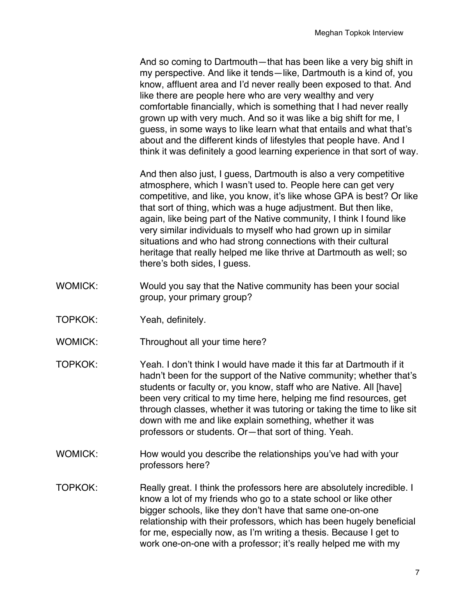And so coming to Dartmouth—that has been like a very big shift in my perspective. And like it tends—like, Dartmouth is a kind of, you know, affluent area and I'd never really been exposed to that. And like there are people here who are very wealthy and very comfortable financially, which is something that I had never really grown up with very much. And so it was like a big shift for me, I guess, in some ways to like learn what that entails and what that's about and the different kinds of lifestyles that people have. And I think it was definitely a good learning experience in that sort of way.

And then also just, I guess, Dartmouth is also a very competitive atmosphere, which I wasn't used to. People here can get very competitive, and like, you know, it's like whose GPA is best? Or like that sort of thing, which was a huge adjustment. But then like, again, like being part of the Native community, I think I found like very similar individuals to myself who had grown up in similar situations and who had strong connections with their cultural heritage that really helped me like thrive at Dartmouth as well; so there's both sides, I guess.

- WOMICK: Would you say that the Native community has been your social group, your primary group?
- TOPKOK: Yeah, definitely.
- WOMICK: Throughout all your time here?
- TOPKOK: Yeah. I don't think I would have made it this far at Dartmouth if it hadn't been for the support of the Native community; whether that's students or faculty or, you know, staff who are Native. All [have] been very critical to my time here, helping me find resources, get through classes, whether it was tutoring or taking the time to like sit down with me and like explain something, whether it was professors or students. Or—that sort of thing. Yeah.
- WOMICK: How would you describe the relationships you've had with your professors here?
- TOPKOK: Really great. I think the professors here are absolutely incredible. I know a lot of my friends who go to a state school or like other bigger schools, like they don't have that same one-on-one relationship with their professors, which has been hugely beneficial for me, especially now, as I'm writing a thesis. Because I get to work one-on-one with a professor; it's really helped me with my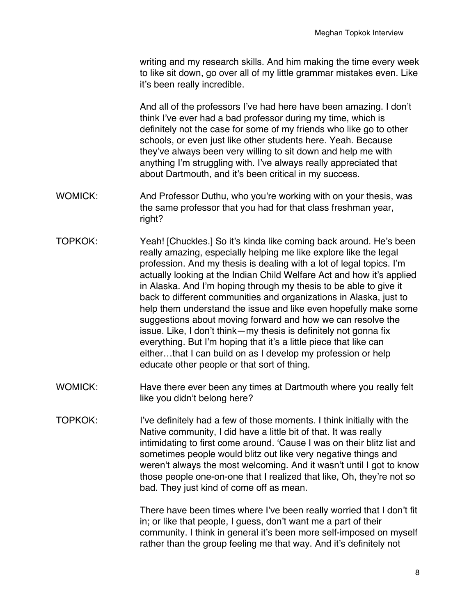writing and my research skills. And him making the time every week to like sit down, go over all of my little grammar mistakes even. Like it's been really incredible.

And all of the professors I've had here have been amazing. I don't think I've ever had a bad professor during my time, which is definitely not the case for some of my friends who like go to other schools, or even just like other students here. Yeah. Because they've always been very willing to sit down and help me with anything I'm struggling with. I've always really appreciated that about Dartmouth, and it's been critical in my success.

- WOMICK: And Professor Duthu, who you're working with on your thesis, was the same professor that you had for that class freshman year, right?
- TOPKOK: Yeah! [Chuckles.] So it's kinda like coming back around. He's been really amazing, especially helping me like explore like the legal profession. And my thesis is dealing with a lot of legal topics. I'm actually looking at the Indian Child Welfare Act and how it's applied in Alaska. And I'm hoping through my thesis to be able to give it back to different communities and organizations in Alaska, just to help them understand the issue and like even hopefully make some suggestions about moving forward and how we can resolve the issue. Like, I don't think—my thesis is definitely not gonna fix everything. But I'm hoping that it's a little piece that like can either…that I can build on as I develop my profession or help educate other people or that sort of thing.
- WOMICK: Have there ever been any times at Dartmouth where you really felt like you didn't belong here?
- TOPKOK: I've definitely had a few of those moments. I think initially with the Native community, I did have a little bit of that. It was really intimidating to first come around. 'Cause I was on their blitz list and sometimes people would blitz out like very negative things and weren't always the most welcoming. And it wasn't until I got to know those people one-on-one that I realized that like, Oh, they're not so bad. They just kind of come off as mean.

There have been times where I've been really worried that I don't fit in; or like that people, I guess, don't want me a part of their community. I think in general it's been more self-imposed on myself rather than the group feeling me that way. And it's definitely not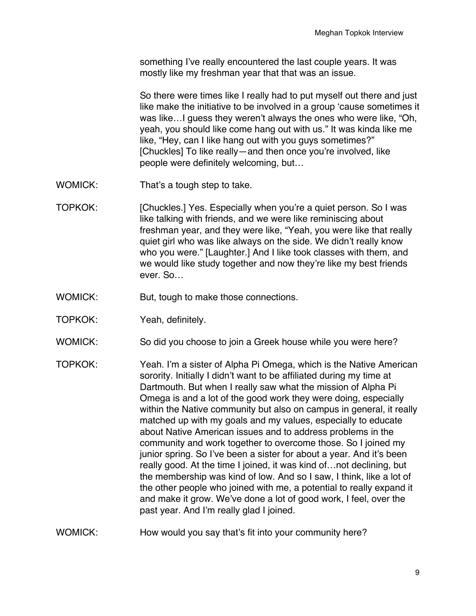something I've really encountered the last couple years. It was mostly like my freshman year that that was an issue.

So there were times like I really had to put myself out there and just like make the initiative to be involved in a group 'cause sometimes it was like…I guess they weren't always the ones who were like, "Oh, yeah, you should like come hang out with us." It was kinda like me like, "Hey, can I like hang out with you guys sometimes?" [Chuckles] To like really—and then once you're involved, like people were definitely welcoming, but…

- WOMICK: That's a tough step to take.
- TOPKOK: [Chuckles.] Yes. Especially when you're a quiet person. So I was like talking with friends, and we were like reminiscing about freshman year, and they were like, "Yeah, you were like that really quiet girl who was like always on the side. We didn't really know who you were." [Laughter.] And I like took classes with them, and we would like study together and now they're like my best friends ever. So…
- WOMICK: But, tough to make those connections.
- TOPKOK: Yeah, definitely.
- WOMICK: So did you choose to join a Greek house while you were here?
- TOPKOK: Yeah. I'm a sister of Alpha Pi Omega, which is the Native American sorority. Initially I didn't want to be affiliated during my time at Dartmouth. But when I really saw what the mission of Alpha Pi Omega is and a lot of the good work they were doing, especially within the Native community but also on campus in general, it really matched up with my goals and my values, especially to educate about Native American issues and to address problems in the community and work together to overcome those. So I joined my junior spring. So I've been a sister for about a year. And it's been really good. At the time I joined, it was kind of…not declining, but the membership was kind of low. And so I saw, I think, like a lot of the other people who joined with me, a potential to really expand it and make it grow. We've done a lot of good work, I feel, over the past year. And I'm really glad I joined.
- WOMICK: How would you say that's fit into your community here?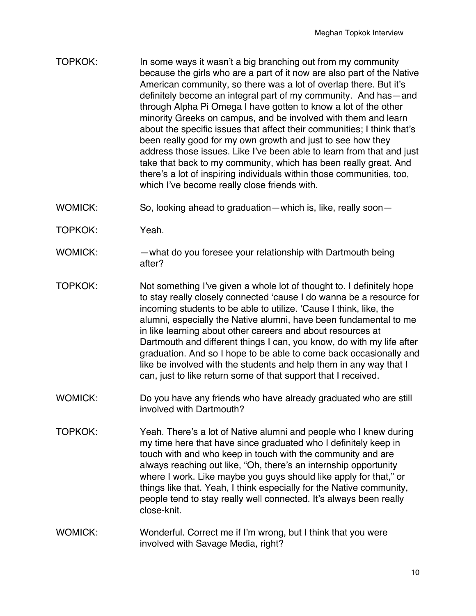- TOPKOK: In some ways it wasn't a big branching out from my community because the girls who are a part of it now are also part of the Native American community, so there was a lot of overlap there. But it's definitely become an integral part of my community. And has—and through Alpha Pi Omega I have gotten to know a lot of the other minority Greeks on campus, and be involved with them and learn about the specific issues that affect their communities; I think that's been really good for my own growth and just to see how they address those issues. Like I've been able to learn from that and just take that back to my community, which has been really great. And there's a lot of inspiring individuals within those communities, too, which I've become really close friends with.
- WOMICK: So, looking ahead to graduation—which is, like, really soon—
- TOPKOK: Yeah.
- WOMICK: —what do you foresee your relationship with Dartmouth being after?
- TOPKOK: Not something I've given a whole lot of thought to. I definitely hope to stay really closely connected 'cause I do wanna be a resource for incoming students to be able to utilize. 'Cause I think, like, the alumni, especially the Native alumni, have been fundamental to me in like learning about other careers and about resources at Dartmouth and different things I can, you know, do with my life after graduation. And so I hope to be able to come back occasionally and like be involved with the students and help them in any way that I can, just to like return some of that support that I received.
- WOMICK: Do you have any friends who have already graduated who are still involved with Dartmouth?
- TOPKOK: Yeah. There's a lot of Native alumni and people who I knew during my time here that have since graduated who I definitely keep in touch with and who keep in touch with the community and are always reaching out like, "Oh, there's an internship opportunity where I work. Like maybe you guys should like apply for that," or things like that. Yeah, I think especially for the Native community, people tend to stay really well connected. It's always been really close-knit.
- WOMICK: Wonderful. Correct me if I'm wrong, but I think that you were involved with Savage Media, right?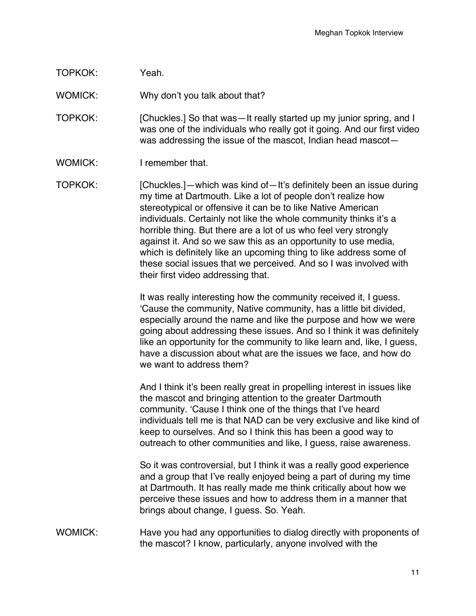## TOPKOK: Yeah.

WOMICK: Why don't you talk about that?

TOPKOK: [Chuckles.] So that was—It really started up my junior spring, and I was one of the individuals who really got it going. And our first video was addressing the issue of the mascot, Indian head mascot—

WOMICK: I remember that.

TOPKOK: [Chuckles.]—which was kind of—It's definitely been an issue during my time at Dartmouth. Like a lot of people don't realize how stereotypical or offensive it can be to like Native American individuals. Certainly not like the whole community thinks it's a horrible thing. But there are a lot of us who feel very strongly against it. And so we saw this as an opportunity to use media, which is definitely like an upcoming thing to like address some of these social issues that we perceived. And so I was involved with their first video addressing that.

> It was really interesting how the community received it, I guess. 'Cause the community, Native community, has a little bit divided, especially around the name and like the purpose and how we were going about addressing these issues. And so I think it was definitely like an opportunity for the community to like learn and, like, I guess, have a discussion about what are the issues we face, and how do we want to address them?

> And I think it's been really great in propelling interest in issues like the mascot and bringing attention to the greater Dartmouth community. 'Cause I think one of the things that I've heard individuals tell me is that NAD can be very exclusive and like kind of keep to ourselves. And so I think this has been a good way to outreach to other communities and like, I guess, raise awareness.

So it was controversial, but I think it was a really good experience and a group that I've really enjoyed being a part of during my time at Dartmouth. It has really made me think critically about how we perceive these issues and how to address them in a manner that brings about change, I guess. So. Yeah.

WOMICK: Have you had any opportunities to dialog directly with proponents of the mascot? I know, particularly, anyone involved with the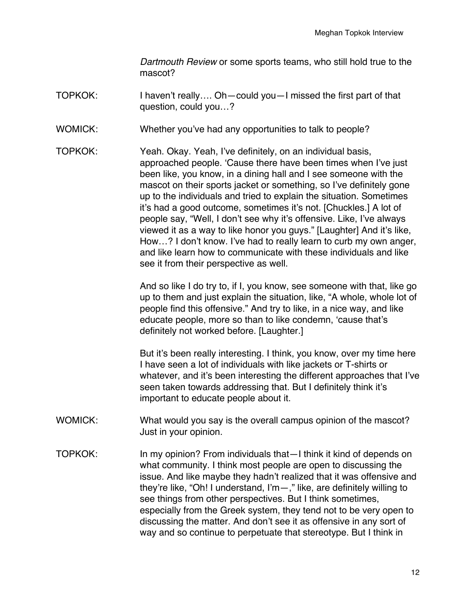*Dartmouth Review* or some sports teams, who still hold true to the mascot?

- TOPKOK: I haven't really…. Oh—could you—I missed the first part of that question, could you…?
- WOMICK: Whether you've had any opportunities to talk to people?
- TOPKOK: Yeah. Okay. Yeah, I've definitely, on an individual basis, approached people. 'Cause there have been times when I've just been like, you know, in a dining hall and I see someone with the mascot on their sports jacket or something, so I've definitely gone up to the individuals and tried to explain the situation. Sometimes it's had a good outcome, sometimes it's not. [Chuckles.] A lot of people say, "Well, I don't see why it's offensive. Like, I've always viewed it as a way to like honor you guys." [Laughter] And it's like, How…? I don't know. I've had to really learn to curb my own anger, and like learn how to communicate with these individuals and like see it from their perspective as well.

And so like I do try to, if I, you know, see someone with that, like go up to them and just explain the situation, like, "A whole, whole lot of people find this offensive." And try to like, in a nice way, and like educate people, more so than to like condemn, 'cause that's definitely not worked before. [Laughter.]

But it's been really interesting. I think, you know, over my time here I have seen a lot of individuals with like jackets or T-shirts or whatever, and it's been interesting the different approaches that I've seen taken towards addressing that. But I definitely think it's important to educate people about it.

- WOMICK: What would you say is the overall campus opinion of the mascot? Just in your opinion.
- TOPKOK: In my opinion? From individuals that—I think it kind of depends on what community. I think most people are open to discussing the issue. And like maybe they hadn't realized that it was offensive and they're like, "Oh! I understand, I'm—," like, are definitely willing to see things from other perspectives. But I think sometimes, especially from the Greek system, they tend not to be very open to discussing the matter. And don't see it as offensive in any sort of way and so continue to perpetuate that stereotype. But I think in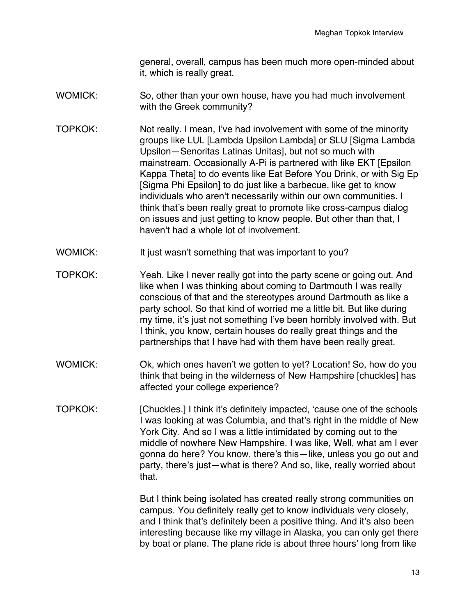general, overall, campus has been much more open-minded about it, which is really great.

- WOMICK: So, other than your own house, have you had much involvement with the Greek community?
- TOPKOK: Not really. I mean, I've had involvement with some of the minority groups like LUL [Lambda Upsilon Lambda] or SLU [Sigma Lambda Upsilon—Senoritas Latinas Unitas], but not so much with mainstream. Occasionally A-Pi is partnered with like EKT [Epsilon Kappa Theta] to do events like Eat Before You Drink, or with Sig Ep [Sigma Phi Epsilon] to do just like a barbecue, like get to know individuals who aren't necessarily within our own communities. I think that's been really great to promote like cross-campus dialog on issues and just getting to know people. But other than that, I haven't had a whole lot of involvement.
- WOMICK: It just wasn't something that was important to you?
- TOPKOK: Yeah. Like I never really got into the party scene or going out. And like when I was thinking about coming to Dartmouth I was really conscious of that and the stereotypes around Dartmouth as like a party school. So that kind of worried me a little bit. But like during my time, it's just not something I've been horribly involved with. But I think, you know, certain houses do really great things and the partnerships that I have had with them have been really great.
- WOMICK: Ok, which ones haven't we gotten to yet? Location! So, how do you think that being in the wilderness of New Hampshire [chuckles] has affected your college experience?
- TOPKOK: [Chuckles.] I think it's definitely impacted, 'cause one of the schools I was looking at was Columbia, and that's right in the middle of New York City. And so I was a little intimidated by coming out to the middle of nowhere New Hampshire. I was like, Well, what am I ever gonna do here? You know, there's this—like, unless you go out and party, there's just—what is there? And so, like, really worried about that.

But I think being isolated has created really strong communities on campus. You definitely really get to know individuals very closely, and I think that's definitely been a positive thing. And it's also been interesting because like my village in Alaska, you can only get there by boat or plane. The plane ride is about three hours' long from like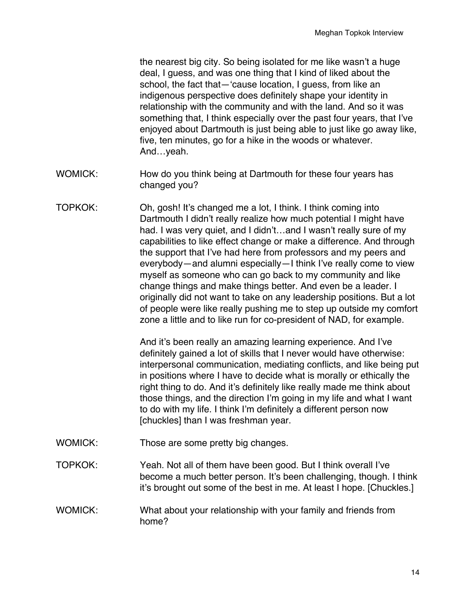the nearest big city. So being isolated for me like wasn't a huge deal, I guess, and was one thing that I kind of liked about the school, the fact that—'cause location, I guess, from like an indigenous perspective does definitely shape your identity in relationship with the community and with the land. And so it was something that, I think especially over the past four years, that I've enjoyed about Dartmouth is just being able to just like go away like, five, ten minutes, go for a hike in the woods or whatever. And…yeah.

- WOMICK: How do you think being at Dartmouth for these four years has changed you?
- TOPKOK: Oh, gosh! It's changed me a lot, I think. I think coming into Dartmouth I didn't really realize how much potential I might have had. I was very quiet, and I didn't...and I wasn't really sure of my capabilities to like effect change or make a difference. And through the support that I've had here from professors and my peers and everybody—and alumni especially—I think I've really come to view myself as someone who can go back to my community and like change things and make things better. And even be a leader. I originally did not want to take on any leadership positions. But a lot of people were like really pushing me to step up outside my comfort zone a little and to like run for co-president of NAD, for example.

And it's been really an amazing learning experience. And I've definitely gained a lot of skills that I never would have otherwise: interpersonal communication, mediating conflicts, and like being put in positions where I have to decide what is morally or ethically the right thing to do. And it's definitely like really made me think about those things, and the direction I'm going in my life and what I want to do with my life. I think I'm definitely a different person now [chuckles] than I was freshman year.

- WOMICK: Those are some pretty big changes.
- TOPKOK: Yeah. Not all of them have been good. But I think overall I've become a much better person. It's been challenging, though. I think it's brought out some of the best in me. At least I hope. [Chuckles.]

WOMICK: What about your relationship with your family and friends from home?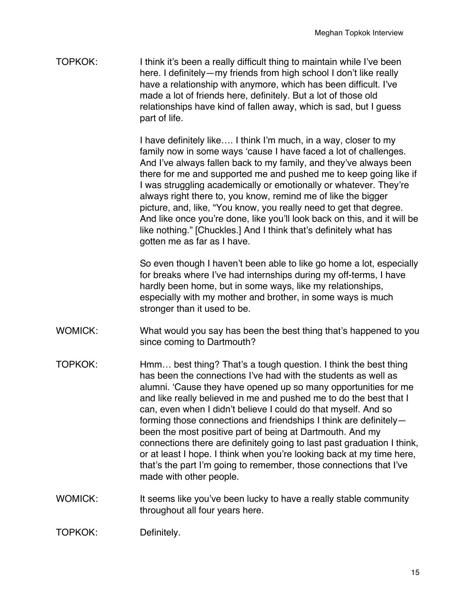TOPKOK: I think it's been a really difficult thing to maintain while I've been here. I definitely—my friends from high school I don't like really have a relationship with anymore, which has been difficult. I've made a lot of friends here, definitely. But a lot of those old relationships have kind of fallen away, which is sad, but I guess part of life.

> I have definitely like…. I think I'm much, in a way, closer to my family now in some ways 'cause I have faced a lot of challenges. And I've always fallen back to my family, and they've always been there for me and supported me and pushed me to keep going like if I was struggling academically or emotionally or whatever. They're always right there to, you know, remind me of like the bigger picture, and, like, "You know, you really need to get that degree. And like once you're done, like you'll look back on this, and it will be like nothing." [Chuckles.] And I think that's definitely what has gotten me as far as I have.

> So even though I haven't been able to like go home a lot, especially for breaks where I've had internships during my off-terms, I have hardly been home, but in some ways, like my relationships, especially with my mother and brother, in some ways is much stronger than it used to be.

- WOMICK: What would you say has been the best thing that's happened to you since coming to Dartmouth?
- TOPKOK: Hmm… best thing? That's a tough question. I think the best thing has been the connections I've had with the students as well as alumni. 'Cause they have opened up so many opportunities for me and like really believed in me and pushed me to do the best that I can, even when I didn't believe I could do that myself. And so forming those connections and friendships I think are definitely been the most positive part of being at Dartmouth. And my connections there are definitely going to last past graduation I think, or at least I hope. I think when you're looking back at my time here, that's the part I'm going to remember, those connections that I've made with other people.
- WOMICK: It seems like you've been lucky to have a really stable community throughout all four years here.

TOPKOK: Definitely.